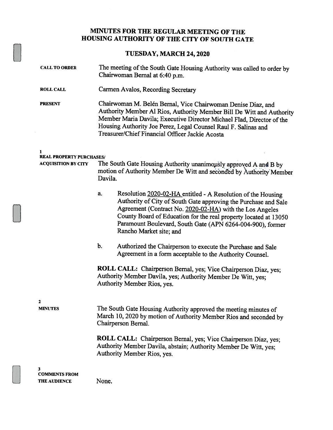## MINUTES FOR THE REGULAR MEETING OF THE HOUSING AUTHORITY OF THE CITY OF SOUTH GATE

## TUESDAY, MARCH 24,2020

| <b>CALL TO ORDER</b>            | The meeting of the South Gate Housing Authority was called to order by<br>Chairwoman Bernal at 6:40 p.m.                                                                                                                                                                                                                                                       |
|---------------------------------|----------------------------------------------------------------------------------------------------------------------------------------------------------------------------------------------------------------------------------------------------------------------------------------------------------------------------------------------------------------|
| <b>ROLL CALL</b>                | Carmen Avalos, Recording Secretary                                                                                                                                                                                                                                                                                                                             |
| <b>PRESENT</b>                  | Chairwoman M. Belén Bernal, Vice Chairwoman Denise Diaz, and<br>Authority Member Al Rios, Authority Member Bill De Witt and Authority<br>Member Maria Davila; Executive Director Michael Flad, Director of the<br>Housing Authority Joe Perez, Legal Counsel Raul F. Salinas and<br>Treasurer/Chief Financial Officer Jackie Acosta                            |
| <b>REAL PROPERTY PURCHASES/</b> |                                                                                                                                                                                                                                                                                                                                                                |
| <b>ACQUISITION BY CITY</b>      | The South Gate Housing Authority unanimously approved A and B by<br>motion of Authority Member De Witt and seconded by Authority Member<br>Davila.                                                                                                                                                                                                             |
|                                 | Resolution 2020-02-HA entitled - A Resolution of the Housing<br>a.<br>Authority of City of South Gate approving the Purchase and Sale<br>Agreement (Contract No. 2020-02-HA) with the Los Angeles<br>County Board of Education for the real property located at 13050<br>Paramount Boulevard, South Gate (APN 6264-004-900), former<br>Rancho Market site; and |
|                                 | b.<br>Authorized the Chairperson to execute the Purchase and Sale<br>Agreement in a form acceptable to the Authority Counsel.                                                                                                                                                                                                                                  |
|                                 | ROLL CALL: Chairperson Bernal, yes; Vice Chairperson Diaz, yes;<br>Authority Member Davila, yes; Authority Member De Witt, yes;<br>Authority Member Rios, yes.                                                                                                                                                                                                 |
| 2<br><b>MINUTES</b>             | The South Gate Housing Authority approved the meeting minutes of<br>March 10, 2020 by motion of Authority Member Rios and seconded by<br>Chairperson Bernal.<br>ROLL CALL: Chairperson Bernal, yes; Vice Chairperson Diaz, yes;<br>Authority Member Davila, abstain; Authority Member De Witt, yes;                                                            |
| 3<br><b>COMMENTS FROM</b>       | Authority Member Rios, yes.                                                                                                                                                                                                                                                                                                                                    |
| <b>THE AUDIENCE</b>             | None.                                                                                                                                                                                                                                                                                                                                                          |